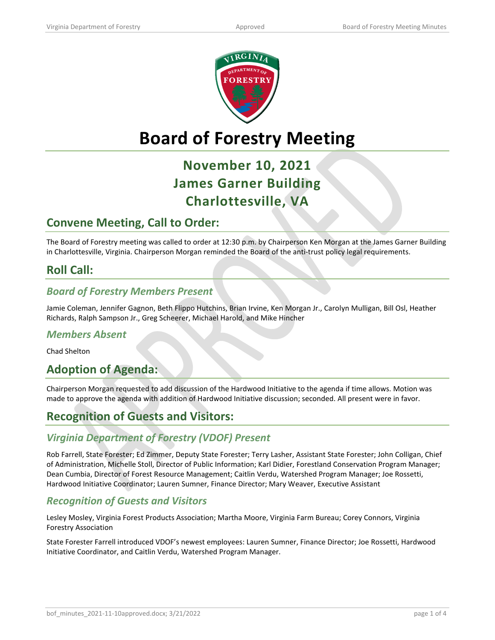

# **Board of Forestry Meeting**

# **November 10, 2021 James Garner Building Charlottesville, VA**

# **Convene Meeting, Call to Order:**

The Board of Forestry meeting was called to order at 12:30 p.m. by Chairperson Ken Morgan at the James Garner Building in Charlottesville, Virginia. Chairperson Morgan reminded the Board of the anti-trust policy legal requirements.

# **Roll Call:**

#### *Board of Forestry Members Present*

Jamie Coleman, Jennifer Gagnon, Beth Flippo Hutchins, Brian Irvine, Ken Morgan Jr., Carolyn Mulligan, Bill Osl, Heather Richards, Ralph Sampson Jr., Greg Scheerer, Michael Harold, and Mike Hincher

#### *Members Absent*

Chad Shelton

## **Adoption of Agenda:**

Chairperson Morgan requested to add discussion of the Hardwood Initiative to the agenda if time allows. Motion was made to approve the agenda with addition of Hardwood Initiative discussion; seconded. All present were in favor.

# **Recognition of Guests and Visitors:**

#### *Virginia Department of Forestry (VDOF) Present*

Rob Farrell, State Forester; Ed Zimmer, Deputy State Forester; Terry Lasher, Assistant State Forester; John Colligan, Chief of Administration, Michelle Stoll, Director of Public Information; Karl Didier, Forestland Conservation Program Manager; Dean Cumbia, Director of Forest Resource Management; Caitlin Verdu, Watershed Program Manager; Joe Rossetti, Hardwood Initiative Coordinator; Lauren Sumner, Finance Director; Mary Weaver, Executive Assistant

#### *Recognition of Guests and Visitors*

Lesley Mosley, Virginia Forest Products Association; Martha Moore, Virginia Farm Bureau; Corey Connors, Virginia Forestry Association

State Forester Farrell introduced VDOF's newest employees: Lauren Sumner, Finance Director; Joe Rossetti, Hardwood Initiative Coordinator, and Caitlin Verdu, Watershed Program Manager.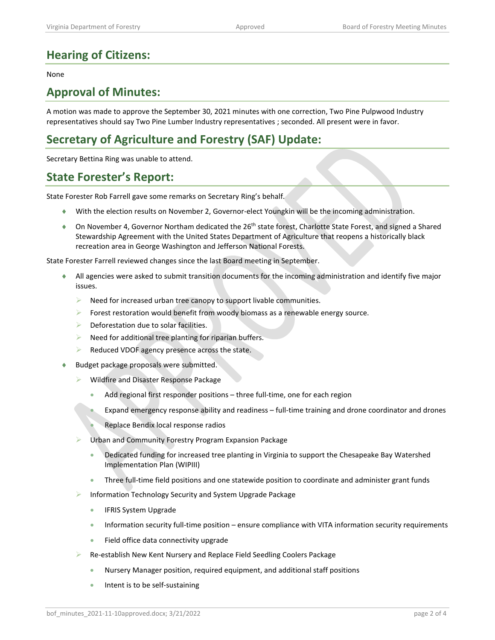# **Hearing of Citizens:**

#### None

### **Approval of Minutes:**

A motion was made to approve the September 30, 2021 minutes with one correction, Two Pine Pulpwood Industry representatives should say Two Pine Lumber Industry representatives ; seconded. All present were in favor.

# **Secretary of Agriculture and Forestry (SAF) Update:**

Secretary Bettina Ring was unable to attend.

### **State Forester's Report:**

State Forester Rob Farrell gave some remarks on Secretary Ring's behalf.

- ♦ With the election results on November 2, Governor-elect Youngkin will be the incoming administration.
- ♦ On November 4, Governor Northam dedicated the 26th state forest, Charlotte State Forest, and signed a Shared Stewardship Agreement with the United States Department of Agriculture that reopens a historically black recreation area in George Washington and Jefferson National Forests.

State Forester Farrell reviewed changes since the last Board meeting in September.

- ♦ All agencies were asked to submit transition documents for the incoming administration and identify five major issues.
	- $\triangleright$  Need for increased urban tree canopy to support livable communities.
	- $\triangleright$  Forest restoration would benefit from woody biomass as a renewable energy source.
	- $\triangleright$  Deforestation due to solar facilities.
	- $\triangleright$  Need for additional tree planting for riparian buffers.
	- Reduced VDOF agency presence across the state.
- ♦ Budget package proposals were submitted.
	- Wildfire and Disaster Response Package
		- Add regional first responder positions three full-time, one for each region
		- Expand emergency response ability and readiness full-time training and drone coordinator and drones
		- Replace Bendix local response radios
	- Urban and Community Forestry Program Expansion Package
		- Dedicated funding for increased tree planting in Virginia to support the Chesapeake Bay Watershed Implementation Plan (WIPIII)
		- Three full-time field positions and one statewide position to coordinate and administer grant funds
	- Information Technology Security and System Upgrade Package
		- IFRIS System Upgrade
		- Information security full-time position ensure compliance with VITA information security requirements
		- Field office data connectivity upgrade
	- Re-establish New Kent Nursery and Replace Field Seedling Coolers Package
		- Nursery Manager position, required equipment, and additional staff positions
		- Intent is to be self-sustaining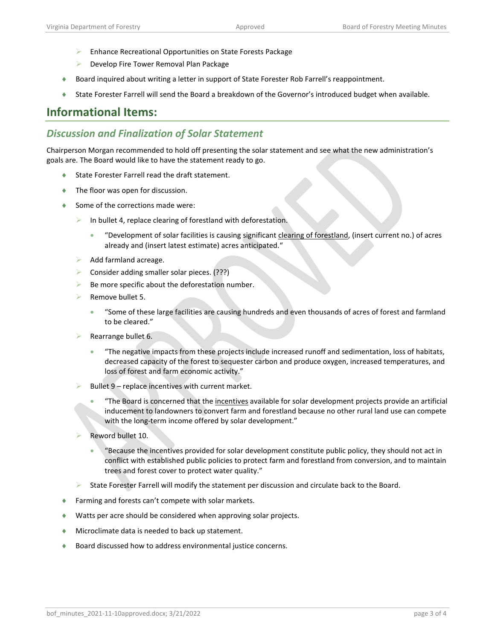- **Enhance Recreational Opportunities on State Forests Package**
- **Develop Fire Tower Removal Plan Package**
- ♦ Board inquired about writing a letter in support of State Forester Rob Farrell's reappointment.
- ♦ State Forester Farrell will send the Board a breakdown of the Governor's introduced budget when available.

### **Informational Items:**

#### *Discussion and Finalization of Solar Statement*

Chairperson Morgan recommended to hold off presenting the solar statement and see what the new administration's goals are. The Board would like to have the statement ready to go.

- State Forester Farrell read the draft statement.
- ♦ The floor was open for discussion.
- ◆ Some of the corrections made were:
	- In bullet 4, replace clearing of forestland with deforestation.
		- "Development of solar facilities is causing significant clearing of forestland, (insert current no.) of acres already and (insert latest estimate) acres anticipated."
	- $\triangleright$  Add farmland acreage.
	- Consider adding smaller solar pieces. (???)
	- $\triangleright$  Be more specific about the deforestation number.
	- Remove bullet 5.
		- "Some of these large facilities are causing hundreds and even thousands of acres of forest and farmland to be cleared."
	- Rearrange bullet 6.
		- "The negative impacts from these projects include increased runoff and sedimentation, loss of habitats, decreased capacity of the forest to sequester carbon and produce oxygen, increased temperatures, and loss of forest and farm economic activity."
	- Bullet 9 replace incentives with current market.
		- "The Board is concerned that the incentives available for solar development projects provide an artificial inducement to landowners to convert farm and forestland because no other rural land use can compete with the long-term income offered by solar development."
	- Reword bullet 10.
		- "Because the incentives provided for solar development constitute public policy, they should not act in conflict with established public policies to protect farm and forestland from conversion, and to maintain trees and forest cover to protect water quality."
	- State Forester Farrell will modify the statement per discussion and circulate back to the Board.
- ♦ Farming and forests can't compete with solar markets.
- ♦ Watts per acre should be considered when approving solar projects.
- ♦ Microclimate data is needed to back up statement.
- Board discussed how to address environmental justice concerns.